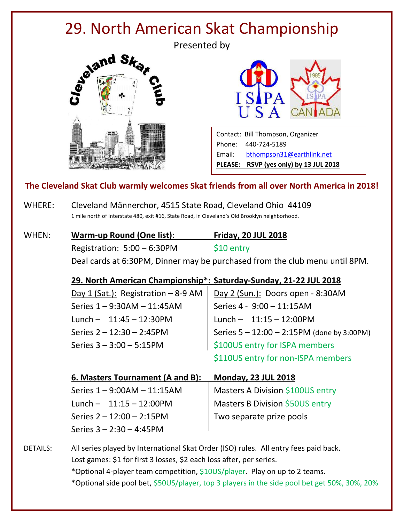# 29. North American Skat Championship

Presented by





Contact: Bill Thompson, Organizer Phone: 440-724-5189 Email: [bthompson31@earthlink.net](mailto:bthompson31@earthlink.net) **PLEASE: RSVP (yes only) by 13 JUL 2018**

#### **The Cleveland Skat Club warmly welcomes Skat friends from all over North America in 2018!**

WHERE: Cleveland Männerchor, 4515 State Road, Cleveland Ohio 44109 1 mile north of Interstate 480, exit #16, State Road, in Cleveland's Old Brooklyn neighborhood.

| WHEN: | Warm-up Round (One list):                                                   | <b>Friday, 20 JUL 2018</b> |  |
|-------|-----------------------------------------------------------------------------|----------------------------|--|
|       | Registration: $5:00 - 6:30$ PM                                              | \$10 entry                 |  |
|       | Deal cards at 6:30PM, Dinner may be purchased from the club menu until 8PM. |                            |  |

#### **29. North American Championship\*: Saturday-Sunday, 21-22 JUL 2018**

| Day 1 (Sat.): Registration $-8-9$ AM | Day 2 (Sun.): Doors open - 8:30AM      |
|--------------------------------------|----------------------------------------|
| Series 1-9:30AM-11:45AM              | Series 4 - 9:00 - 11:15AM              |
| Lunch $-11:45 - 12:30PM$             | Lunch $-11:15 - 12:00$ PM              |
| Series $2 - 12:30 - 2:45$ PM         | Series 5-12:00-2:15PM (done by 3:00PM) |
| Series $3 - 3:00 - 5:15$ PM          | \$100US entry for ISPA members         |
|                                      | \$110US entry for non-ISPA members     |

#### **6. Masters Tournament (A and B): Monday, 23 JUL 2018**

| Series $1 - 9:00AM - 11:15AM$ | Masters A Division \$100US entry |
|-------------------------------|----------------------------------|
| Lunch $- 11:15 - 12:00PM$     | Masters B Division \$50US entry  |
| Series $2 - 12:00 - 2:15$ PM  | Two separate prize pools         |
| Series $3 - 2:30 - 4:45$ PM   |                                  |

DETAILS: All series played by International Skat Order (ISO) rules. All entry fees paid back. Lost games: \$1 for first 3 losses, \$2 each loss after, per series.

\*Optional 4-player team competition, \$10US/player. Play on up to 2 teams.

\*Optional side pool bet, \$50US/player, top 3 players in the side pool bet get 50%, 30%, 20%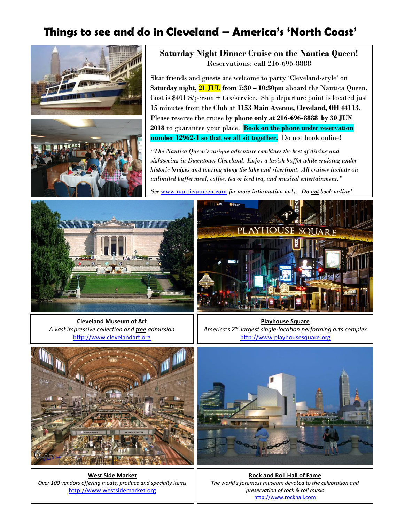# **Things to see and do in Cleveland – America's 'North Coast'**



**Saturday Night Dinner Cruise on the Nautica Queen!** Reservations: call 216-696-8888

Skat friends and guests are welcome to party 'Cleveland-style' on **Saturday night, 21 JUL from 7:30 – 10:30pm** aboard the Nautica Queen. Cost is \$40US/person + tax/service. Ship departure point is located just 15 minutes from the Club at **1153 Main Avenue, Cleveland, OH 44113.** Please reserve the cruise **by phone only at 216-696-8888 by 30 JUN 2018** to guarantee your place. **Book on the phone under reservation**  number 12962-1 so that we all sit together. Do not book online!

*"The Nautica Queen's unique adventure combines the best of dining and sightseeing in Downtown Cleveland. Enjoy a lavish buffet while cruising under historic bridges and touring along the lake and riverfront. All cruises include an unlimited buffet meal, coffee, tea or iced tea, and musical entertainment."*

*See* [www.nauticaqueen.com](http://www.nauticaqueen.com/) *for more information only. Do not book online!*



**Cleveland Museum of Art** *A vast impressive collection and free admission* [http://www.clevelandart.org](http://www.clevelandart.org/)



**Playhouse Square** *America's 2nd largest single-location performing arts complex* [http://www.playhousesquare.org](http://www.playhousesquare.org/)



**West Side Market** *Over 100 vendors offering meats, produce and specialty items* [http://www.westsidemarket.org](http://www.westsidemarket.org/)

**Rock and Roll Hall of Fame** *The world's foremost museum devoted to the celebration and preservation of rock & roll music* [http://www.rockhall.com](http://www.rockhall.com/)